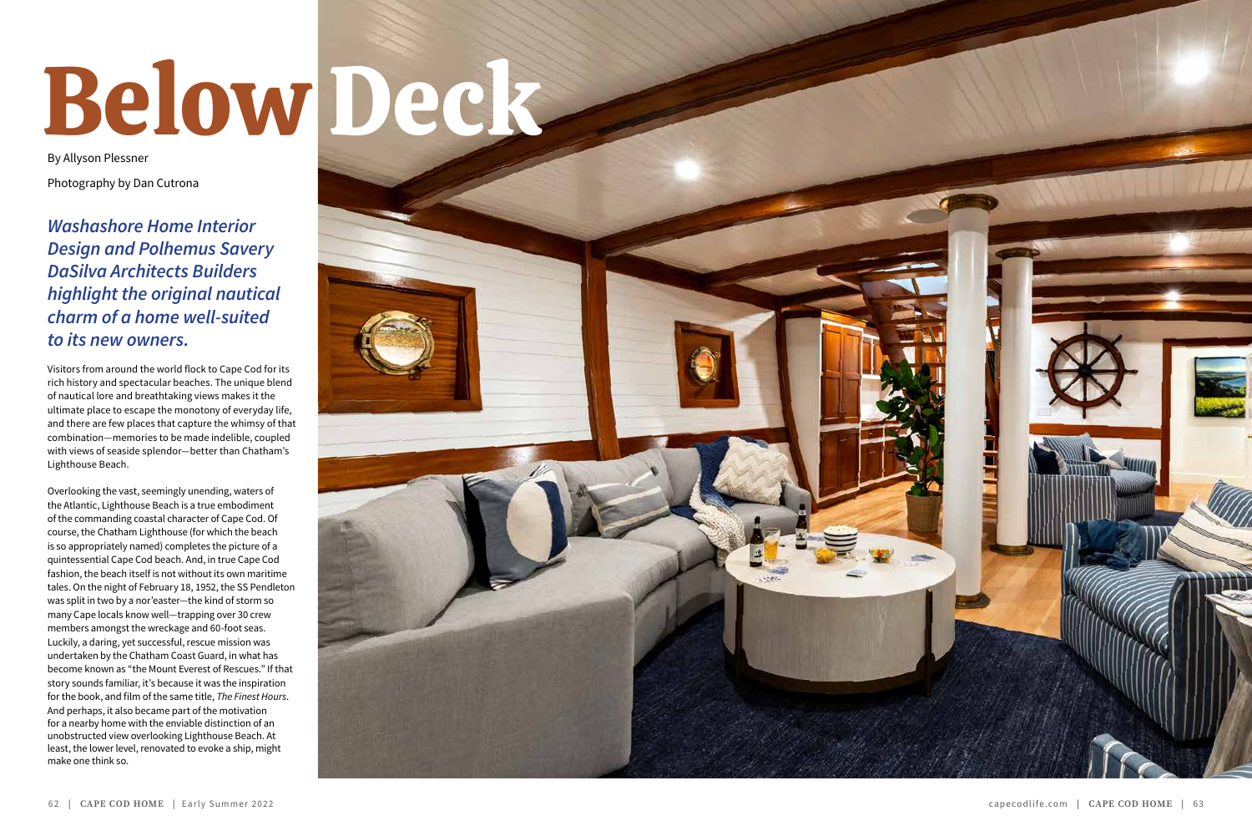# Below Deck

By Allyson Plessner Photography by Dan Cutrona

*Washashore Home Interior Design and Polhemus Savery DaSilva Architects Builders highlight the original nautical charm of a home well-suited to its new owners.*

Visitors from around the world flock to Cape Cod for its rich history and spectacular beaches. The unique blend of nautical lore and breathtaking views makes it the ultimate place to escape the monotony of everyday life, and there are few places that capture the whimsy of that combination—memories to be made indelible, coupled with views of seaside splendor—better than Chatham's Lighthouse Beach.

Overlooking the vast, seemingly unending, waters of the Atlantic, Lighthouse Beach is a true embodiment of the commanding coastal character of Cape Cod. Of course, the Chatham Lighthouse (for which the beach is so appropriately named) completes the picture of a quintessential Cape Cod beach. And, in true Cape Cod fashion, the beach itself is not without its own maritime tales. On the night of February 18, 1952, the SS Pendleton was split in two by a nor'easter—the kind of storm so many Cape locals know well—trapping over 30 crew members amongst the wreckage and 60-foot seas. Luckily, a daring, yet successful, rescue mission was undertaken by the Chatham Coast Guard, in what has become known as "the Mount Everest of Rescues." If that story sounds familiar, it's because it was the inspiration for the book, and film of the same title, *The Finest Hours*. And perhaps, it also became part of the motivation for a nearby home with the enviable distinction of an unobstructed view overlooking Lighthouse Beach. At least, the lower level, renovated to evoke a ship, might make one think so.

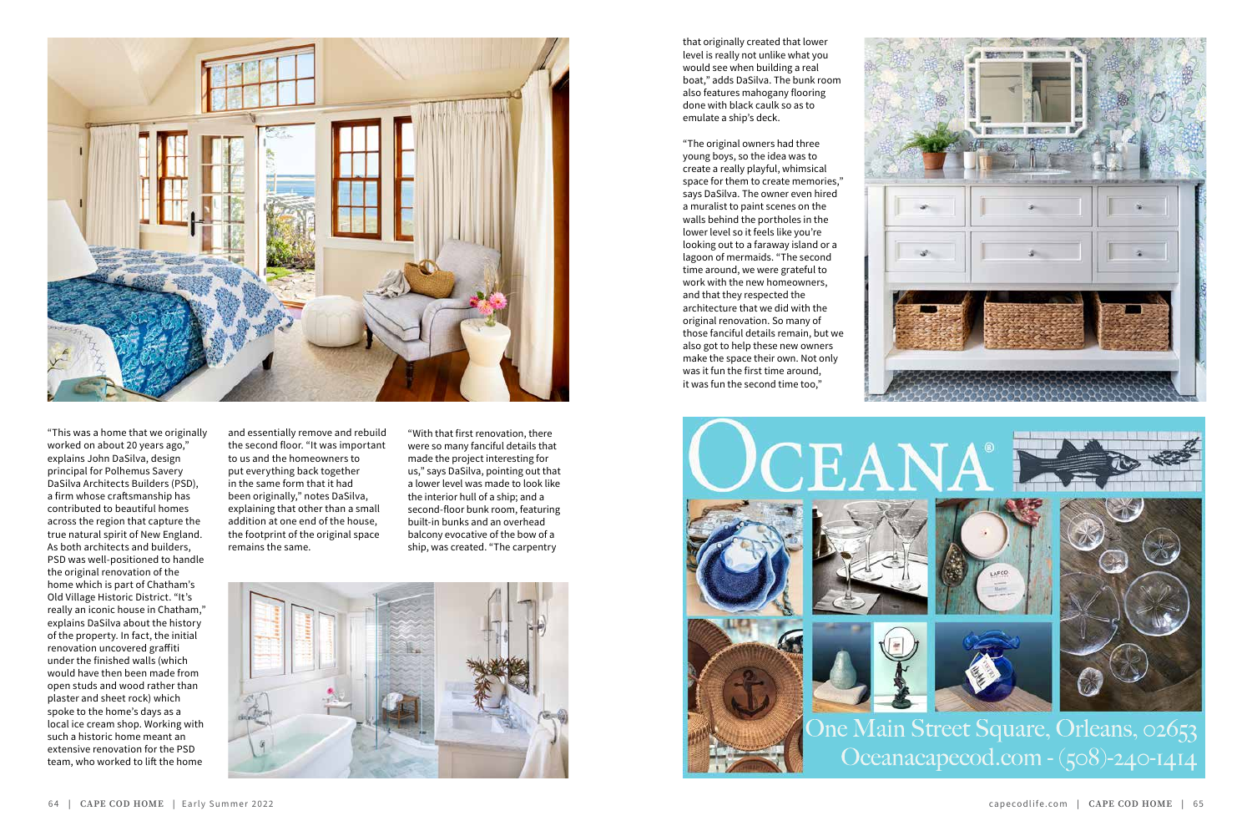



"This was a home that we originally worked on about 20 years ago," explains John DaSilva, design principal for Polhemus Savery DaSilva Architects Builders (PSD), a firm whose craftsmanship has contributed to beautiful homes across the region that capture the true natural spirit of New England. As both architects and builders, PSD was well-positioned to handle the original renovation of the home which is part of Chatham's Old Village Historic District. "It's really an iconic house in Chatham," explains DaSilva about the history of the property. In fact, the initial renovation uncovered graffiti under the finished walls (which would have then been made from open studs and wood rather than plaster and sheet rock) which spoke to the home's days as a local ice cream shop. Working with such a historic home meant an extensive renovation for the PSD team, who worked to lift the home





# Oceanacapecod.com - (508)-240-1414

and essentially remove and rebuild the second floor. "It was important to us and the homeowners to put everything back together in the same form that it had been originally," notes DaSilva, explaining that other than a small addition at one end of the house, the footprint of the original space remains the same.

"With that first renovation, there were so many fanciful details that made the project interesting for us," says DaSilva, pointing out that a lower level was made to look like the interior hull of a ship; and a second-floor bunk room, featuring built-in bunks and an overhead balcony evocative of the bow of a ship, was created. "The carpentry



that originally created that lower level is really not unlike what you would see when building a real boat," adds DaSilva. The bunk room also features mahogany flooring done with black caulk so as to emulate a ship's deck.

"The original owners had three young boys, so the idea was to create a really playful, whimsical space for them to create memories," says DaSilva. The owner even hired a muralist to paint scenes on the walls behind the portholes in the lower level so it feels like you're looking out to a faraway island or a lagoon of mermaids. "The second time around, we were grateful to work with the new homeowners, and that they respected the architecture that we did with the original renovation. So many of those fanciful details remain, but we also got to help these new owners make the space their own. Not only was it fun the first time around, it was fun the second time too,"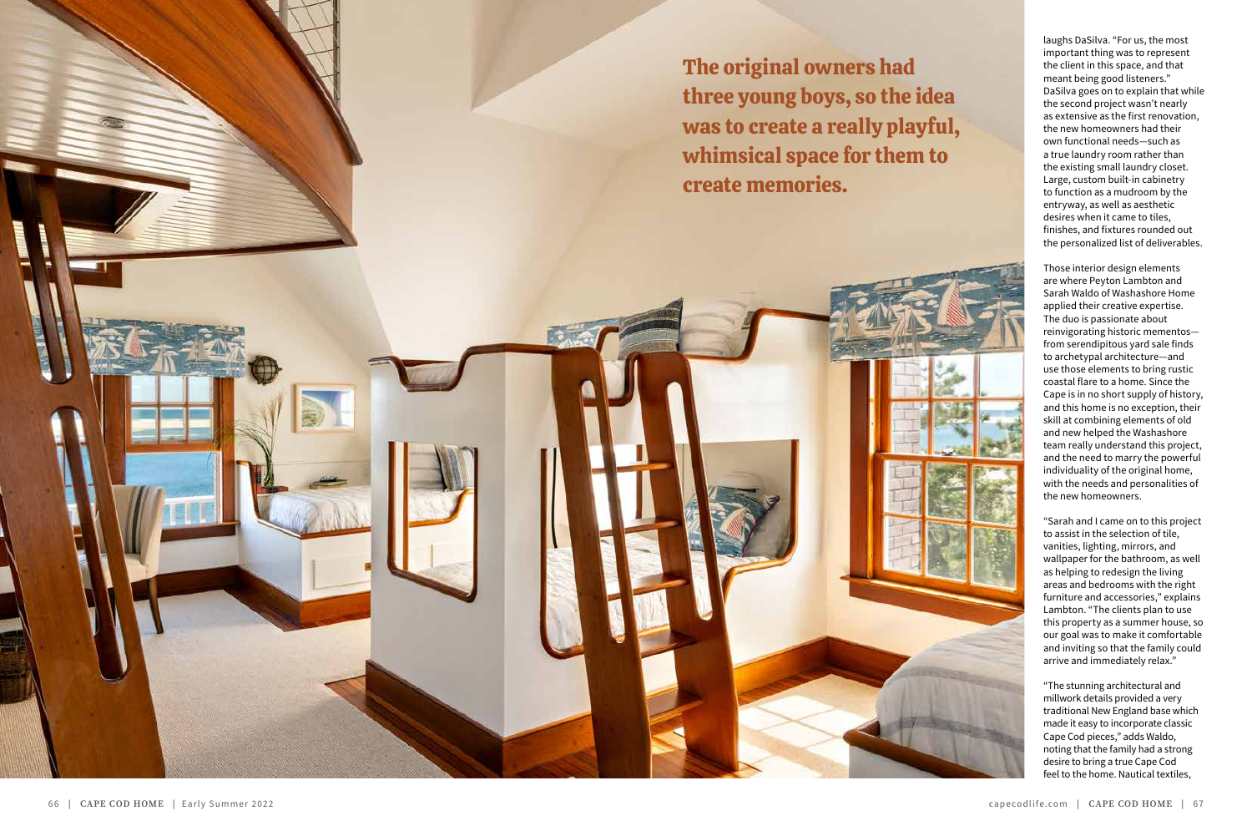

laughs DaSilva. "For us, the most important thing was to represent the client in this space, and that meant being good listeners." DaSilva goes on to explain that while the second project wasn't nearly as extensive as the first renovation, the new homeowners had their own functional needs—such as a true laundry room rather than the existing small laundry closet. Large, custom built-in cabinetry to function as a mudroom by the entryway, as well as aesthetic desires when it came to tiles, finishes, and fixtures rounded out the personalized list of deliverables.

Those interior design elements are where Peyton Lambton and Sarah Waldo of Washashore Home applied their creative expertise. The duo is passionate about reinvigorating historic mementos from serendipitous yard sale finds to archetypal architecture—and use those elements to bring rustic coastal flare to a home. Since the Cape is in no short supply of history, and this home is no exception, their skill at combining elements of old and new helped the Washashore team really understand this project, and the need to marry the powerful individuality of the original home, with the needs and personalities of the new homeowners.

"Sarah and I came on to this project to assist in the selection of tile, vanities, lighting, mirrors, and wallpaper for the bathroom, as well as helping to redesign the living areas and bedrooms with the right furniture and accessories," explains Lambton. "The clients plan to use this property as a summer house, so our goal was to make it comfortable and inviting so that the family could arrive and immediately relax."

"The stunning architectural and millwork details provided a very traditional New England base which made it easy to incorporate classic Cape Cod pieces," adds Waldo, noting that the family had a strong desire to bring a true Cape Cod feel to the home. Nautical textiles,

The original owners had three young boys, so the idea was to create a really playful, whimsical space for them to create memories.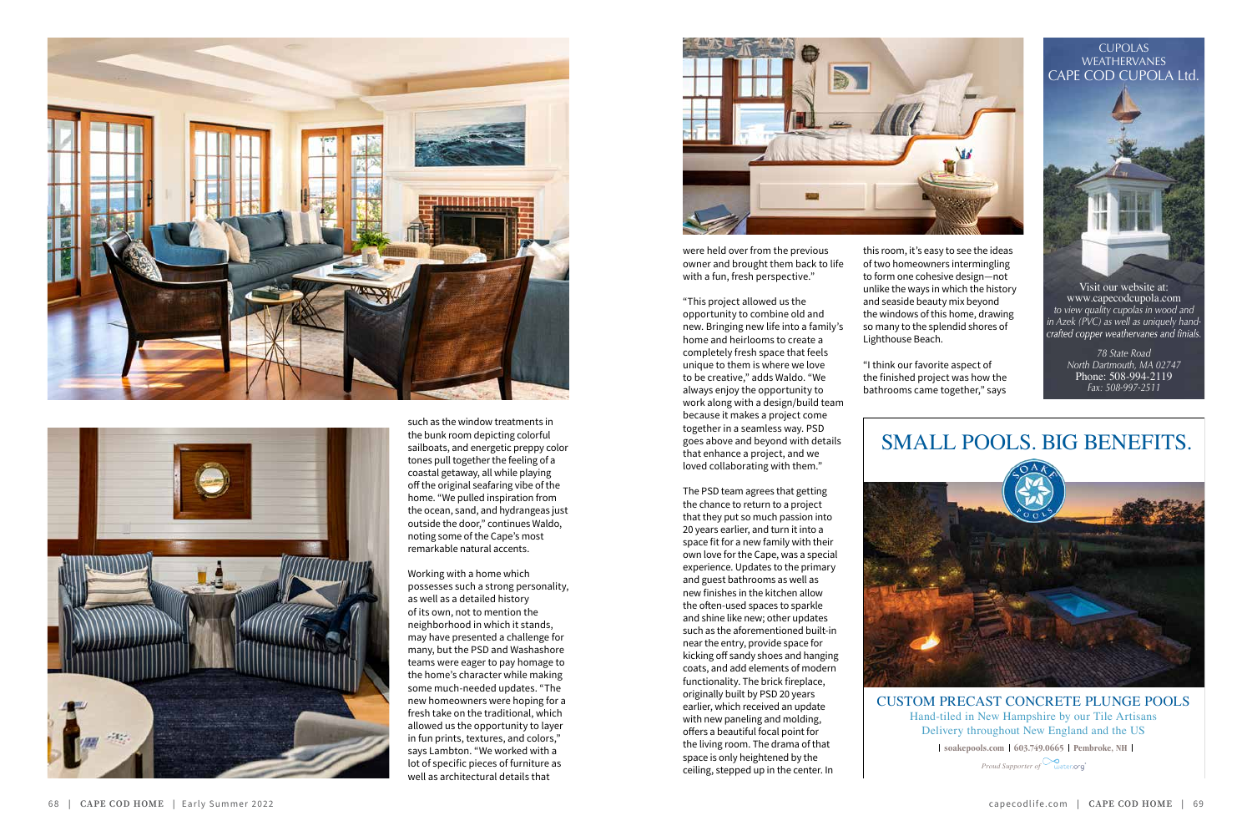CUSTOM PRECAST CONCRETE PLUNGE POOLS Hand-tiled in New Hampshire by our Tile Artisans Delivery throughout New England and the US

**l** soakepools.com | 603.749.0665 | Pembroke, NH |

Visit our website at: www.capecodcupola.com *to view quality cupolas in wood and* in *Azek* (PVC) as well as uniquely hand-<br>crafted copper weathervanes and finials.

### SMALL POOLS. BIG BENEFITS.

*Proud Supporter of*

#### CUPOLAS WEATHERVANES CAPE COD CUPOLA Ltd.



*78 State Road North Dartmouth, MA 02747* Phone: 508-994-2119 *Fax: 508-997-2511*





such as the window treatments in the bunk room depicting colorful sailboats, and energetic preppy color tones pull together the feeling of a coastal getaway, all while playing off the original seafaring vibe of the home. "We pulled inspiration from the ocean, sand, and hydrangeas just outside the door," continues Waldo, noting some of the Cape's most remarkable natural accents.

Working with a home which possesses such a strong personality, as well as a detailed history of its own, not to mention the neighborhood in which it stands, may have presented a challenge for many, but the PSD and Washashore teams were eager to pay homage to the home's character while making some much-needed updates. "The new homeowners were hoping for a fresh take on the traditional, which allowed us the opportunity to layer in fun prints, textures, and colors," says Lambton. "We worked with a lot of specific pieces of furniture as well as architectural details that



were held over from the previous owner and brought them back to life with a fun, fresh perspective."

"This project allowed us the opportunity to combine old and new. Bringing new life into a family's home and heirlooms to create a completely fresh space that feels unique to them is where we love to be creative," adds Waldo. "We always enjoy the opportunity to work along with a design/build team because it makes a project come together in a seamless way. PSD goes above and beyond with details that enhance a project, and we loved collaborating with them."

The PSD team agrees that getting the chance to return to a project that they put so much passion into 20 years earlier, and turn it into a space fit for a new family with their own love for the Cape, was a special experience. Updates to the primary and guest bathrooms as well as new finishes in the kitchen allow the often-used spaces to sparkle and shine like new; other updates such as the aforementioned built-in near the entry, provide space for kicking off sandy shoes and hanging coats, and add elements of modern functionality. The brick fireplace, originally built by PSD 20 years earlier, which received an update with new paneling and molding, offers a beautiful focal point for the living room. The drama of that space is only heightened by the ceiling, stepped up in the center. In

this room, it's easy to see the ideas of two homeowners intermingling to form one cohesive design—not unlike the ways in which the history and seaside beauty mix beyond the windows of this home, drawing so many to the splendid shores of Lighthouse Beach.

"I think our favorite aspect of the finished project was how the bathrooms came together," says